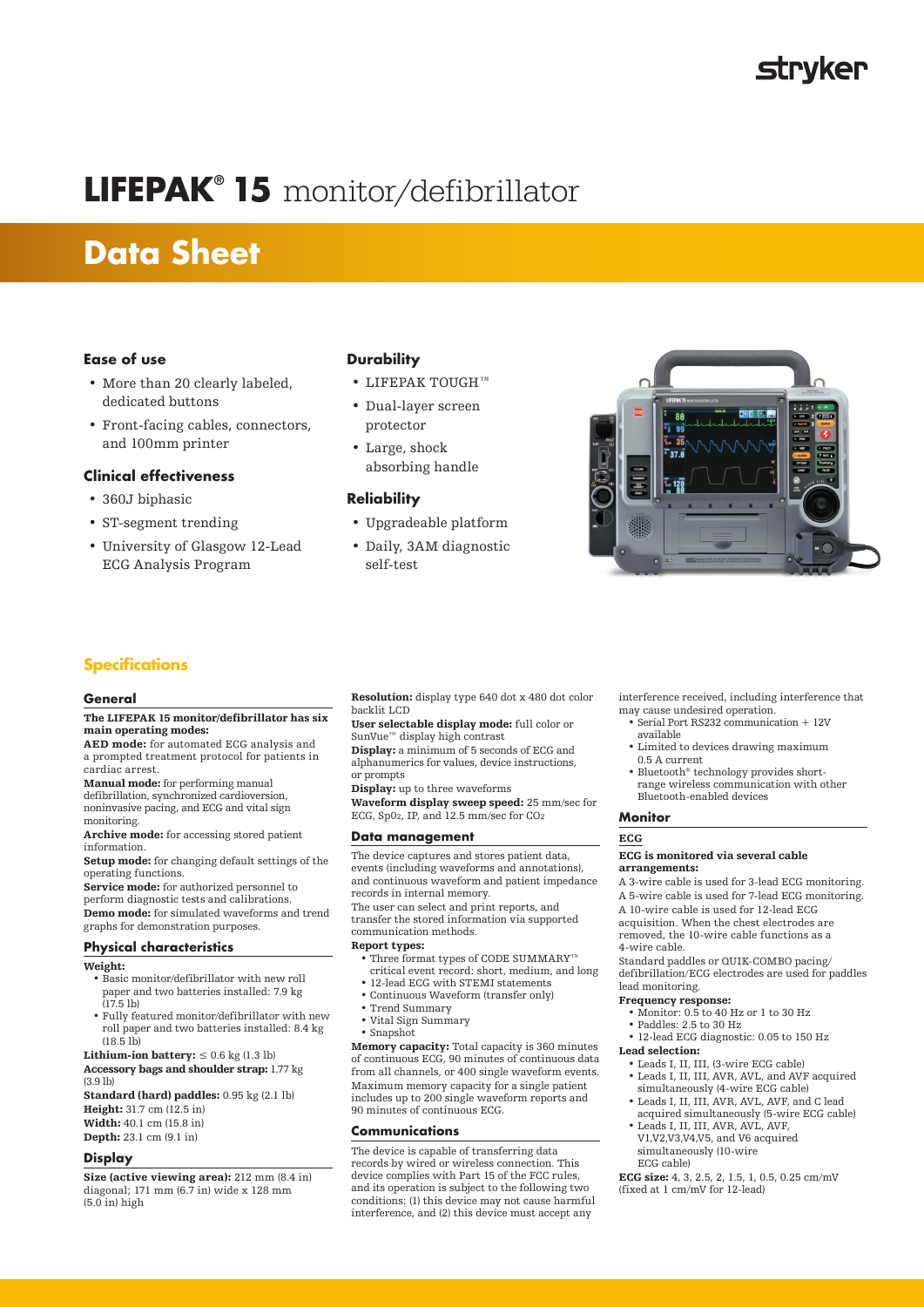# **strvker**

# **LIFEPAK® 15** monitor/defibrillator

# **Data Sheet**

# **Ease of use**

- More than 20 clearly labeled, dedicated buttons
- Front-facing cables, connectors, and 100mm printer

# **Clinical effectiveness**

- 360J biphasic
- ST-segment trending
- University of Glasgow 12-Lead ECG Analysis Program

# **Durability**

- LIFEPAK TOUGH™
- Dual-layer screen protector
- Large, shock absorbing handle

# **Reliability**

- Upgradeable platform
- Daily, 3AM diagnostic self-test



# **Specifications**

#### **General**

#### The LIFEPAK 15 monitor/defibrillator has six main operating modes:

AED mode: for automated ECG analysis and a prompted treatment protocol for patients in cardiac arrest.

Manual mode: for performing manual defibrillation, synchronized cardioversion, noninvasive pacing, and ECG and vital sign monitoring.

Archive mode: for accessing stored patient information.

Setup mode: for changing default settings of the operating functions.

Service mode: for authorized personnel to perform diagnostic tests and calibrations. Demo mode: for simulated waveforms and trend

graphs for demonstration purposes.

# **Physical characteristics**

- Weight:
	- Basic monitor/defibrillator with new roll paper and two batteries installed: 7.9 kg (17.5 lb)
- Fully featured monitor/defibrillator with new roll paper and two batteries installed: 8.4 kg  $(18.5 \text{ lb})$

**Lithium-ion battery:**  $\leq 0.6$  kg (1.3 lb)

Accessory bags and shoulder strap: 1.77 kg (3.9 lb)

Standard (hard) paddles: 0.95 kg (2.1 lb) Height: 31.7 cm (12.5 in) Width: 40.1 cm (15.8 in)

Depth: 23.1 cm (9.1 in)

# **Display**

Size (active viewing area): 212 mm (8.4 in) diagonal; 171 mm (6.7 in) wide x 128 mm  $(5.0 \text{ in})$  high

Resolution: display type 640 dot x 480 dot color backlit LCD

User selectable display mode: full color or SunVue™ display high contrast

Display: a minimum of 5 seconds of ECG and alphanumerics for values, device instructions, or prompts

Display: up to three waveforms Waveform display sweep speed: 25 mm/sec for ECG, Sp02, IP, and 12.5 mm/sec for CO2

# **Data management**

The device captures and stores patient data, events (including waveforms and annotations), and continuous waveform and patient impedance records in internal memory.

The user can select and print reports, and transfer the stored information via supported communication methods.

## Report types:

- Three format types of CODE SUMMARY™ critical event record: short, medium, and long
- 12-lead ECG with STEMI statements • Continuous Waveform (transfer only)
- Trend Summary
- Vital Sign Summary
- Snapshot

Memory capacity: Total capacity is 360 minutes of continuous ECG, 90 minutes of continuous data from all channels, or 400 single waveform events. Maximum memory capacity for a single patient includes up to 200 single waveform reports and 90 minutes of continuous ECG.

## **Communications**

The device is capable of transferring data records by wired or wireless connection. This device complies with Part 15 of the FCC rules, and its operation is subject to the following two conditions: (1) this device may not cause harmful interference, and (2) this device must accept any

interference received, including interference that may cause undesired operation.

- Serial Port RS232 communication + 12V available
- Limited to devices drawing maximum 0.5 A current
- Bluetooth® technology provides shortrange wireless communication with other Bluetooth-enabled devices

#### **Monitor**

## **ECG**

#### ECG is monitored via several cable arrangements:

A 3-wire cable is used for 3-lead ECG monitoring. A 5-wire cable is used for 7-lead ECG monitoring. A 10-wire cable is used for 12-lead ECG acquisition. When the chest electrodes are removed, the 10-wire cable functions as a 4-wire cable.

Standard paddles or QUIK-COMBO pacing/ defibrillation/ECG electrodes are used for paddles lead monitoring.

#### Frequency response:

- Monitor: 0.5 to 40 Hz or 1 to 30 Hz
- Paddles: 2.5 to 30 Hz

• 12-lead ECG diagnostic: 0.05 to 150 Hz Lead selection:

- Leads I, II, III, (3-wire ECG cable)
- Leads I, II, III, AVR, AVL, and AVF acquired simultaneously (4-wire ECG cable)
- Leads I, II, III, AVR, AVL, AVF, and C lead acquired simultaneously (5-wire ECG cable)
- Leads I, II, III, AVR, AVL, AVF, V1,V2,V3,V4,V5, and V6 acquired simultaneously (10-wire ECG cable)

ECG size: 4, 3, 2.5, 2, 1.5, 1, 0.5, 0.25 cm/mV (fixed at  $1 \text{ cm/mV}$  for 12-lead)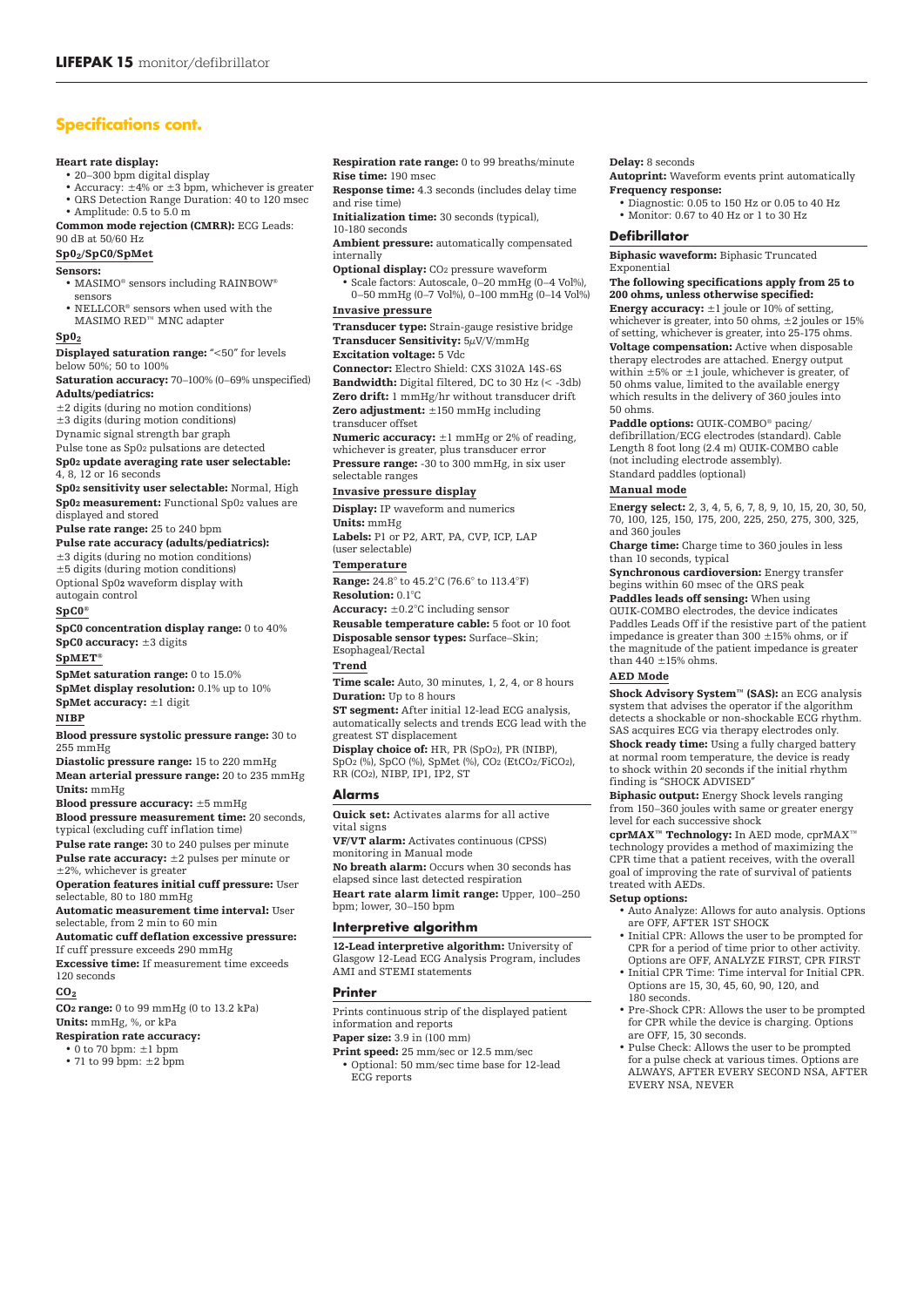# **Specifications cont.**

#### Heart rate display:

• 20–300 bpm digital display

- Accuracy: ±4% or ±3 bpm, whichever is greater
- QRS Detection Range Duration: 40 to 120 msec

• Amplitude: 0.5 to 5.0 m Common mode rejection (CMRR): ECG Leads:

90 dB at 50/60 Hz

# Sp02/SpC0/SpMet

Sensors:

- MASIMO® sensors including RAINBOW® sensors
- NELLCOR® sensors when used with the MASIMO RED™ MNC adapter

#### $Sp0<sub>2</sub>$

Displayed saturation range: "<50" for levels below 50%; 50 to 100%

Saturation accuracy: 70–100% (0–69% unspecified) Adults/pediatrics:

±2 digits (during no motion conditions)

±3 digits (during motion conditions)

Dynamic signal strength bar graph

#### Pulse tone as Sp02 pulsations are detected Sp02 update averaging rate user selectable: 4, 8, 12 or 16 seconds

Sp02 sensitivity user selectable: Normal, High Sp02 measurement: Functional Sp02 values are displayed and stored

Pulse rate range: 25 to 240 bpm

Pulse rate accuracy (adults/pediatrics): ±3 digits (during no motion conditions) ±5 digits (during motion conditions) Optional Sp02 waveform display with autogain control

## SpC0®

SpC0 concentration display range: 0 to 40% SpC0 accuracy: ±3 digits

SpMET®

SpMet saturation range: 0 to 15.0% SpMet display resolution: 0.1% up to 10% SpMet accuracy: ±1 digit.

# NIBP

Blood pressure systolic pressure range: 30 to 255 mmHg

Diastolic pressure range: 15 to 220 mmHg Mean arterial pressure range: 20 to 235 mmHg Units: mmHg

Blood pressure accuracy: ±5 mmHg Blood pressure measurement time: 20 seconds, typical (excluding cuff inflation time)

Pulse rate range: 30 to 240 pulses per minute Pulse rate accuracy: ±2 pulses per minute or ±2%, whichever is greater

Operation features initial cuff pressure: User selectable, 80 to 180 mmHg

Automatic measurement time interval: User selectable, from 2 min to 60 min

Automatic cuff deflation excessive pressure: If cuff pressure exceeds 290 mmHg

Excessive time: If measurement time exceeds 120 seconds

#### $CO<sub>2</sub>$

CO2 range: 0 to 99 mmHg (0 to 13.2 kPa) Units: mmHg, %, or kPa

## Respiration rate accuracy:

• 0 to 70 bpm: ±1 bpm

• 71 to 99 bpm: ±2 bpm

Respiration rate range: 0 to 99 breaths/minute Rise time: 190 msec

Response time: 4.3 seconds (includes delay time and rise time)

Initialization time: 30 seconds (typical),

10-180 seconds

- Ambient pressure: automatically compensated internally
- Optional display: CO2 pressure waveform

• Scale factors: Autoscale, 0–20 mmHg (0–4 Vol%), 0–50 mmHg (0–7 Vol%), 0–100 mmHg (0–14 Vol%)

# Invasive pressure

Transducer type: Strain-gauge resistive bridge Transducer Sensitivity: 5µV/V/mmHg Excitation voltage: 5 Vdc

# Connector: Electro Shield: CXS 3102A 14S-6S

Bandwidth: Digital filtered, DC to 30 Hz (< -3db) Zero drift: 1 mmHg/hr without transducer drift **Zero adjustment:**  $\check{\pm}$ 150 mmHg including transducer offset

Numeric accuracy:  $\pm 1$  mmHg or 2% of reading, whichever is greater, plus transducer error Pressure range: -30 to 300 mmHg, in six user selectable ranges

Invasive pressure display

Display: IP waveform and numerics Units: mmHg

Labels: P1 or P2, ART, PA, CVP, ICP, LAP (user selectable)

#### Temperature

Range: 24.8° to 45.2°C (76.6° to 113.4°F) Resolution: 0.1°C

Accuracy:  $\pm 0.2^{\circ}$ C including sensor Reusable temperature cable: 5 foot or 10 foot

Disposable sensor types: Surface–Skin; Esophageal/Rectal

### Trend

Time scale: Auto, 30 minutes, 1, 2, 4, or 8 hours Duration: Up to 8 hours

ST segment: After initial 12-lead ECG analysis, automatically selects and trends ECG lead with the greatest ST displacement

Display choice of: HR, PR (SpO2), PR (NIBP), SpO2 (%), SpCO (%), SpMet (%), CO2 (EtCO2/FiCO2), RR (CO2), NIBP, IP1, IP2, ST

#### **Alarms**

Quick set: Activates alarms for all active vital signs

VF/VT alarm: Activates continuous (CPSS)

monitoring in Manual mode No breath alarm: Occurs when 30 seconds has

elapsed since last detected respiration

Heart rate alarm limit range: Upper, 100–250 bpm; lower, 30–150 bpm

## **Interpretive algorithm**

12-Lead interpretive algorithm: University of Glasgow 12-Lead ECG Analysis Program, includes AMI and STEMI statements

## **Printer**

Prints continuous strip of the displayed patient information and reports

## Paper size: 3.9 in (100 mm)

Print speed: 25 mm/sec or 12.5 mm/sec • Optional: 50 mm/sec time base for 12-lead ECG reports

#### Delay: 8 seconds

Autoprint: Waveform events print automatically Frequency response:

• Diagnostic: 0.05 to 150 Hz or 0.05 to 40 Hz • Monitor: 0.67 to 40 Hz or 1 to 30 Hz

#### **Defibrillator**

Biphasic waveform: Biphasic Truncated Exponential

#### The following specifications apply from 25 to 200 ohms, unless otherwise specified:

**Energy accuracy:**  $\pm 1$  joule or 10% of setting, whichever is greater, into 50 ohms,  $\pm 2$  joules or 15% of setting, whichever is greater, into 25-175 ohms. Voltage compensation: Active when disposable therapy electrodes are attached. Energy output within  $\pm 5\%$  or  $\pm 1$  joule, whichever is greater, of 50 ohms value, limited to the available energy which results in the delivery of 360 joules into 50 ohms.

Paddle options: QUIK-COMBO® pacing/ defibrillation/ECG electrodes (standard). Cable Length 8 foot long (2.4 m) QUIK-COMBO cable (not including electrode assembly).

Standard paddles (optional)

# Manual mode

Energy select: 2, 3, 4, 5, 6, 7, 8, 9, 10, 15, 20, 30, 50, 70, 100, 125, 150, 175, 200, 225, 250, 275, 300, 325, and 360 joules

Charge time: Charge time to 360 joules in less than 10 seconds, typical

Synchronous cardioversion: Energy transfer begins within 60 msec of the QRS peak

Paddles leads off sensing: When using QUIK-COMBO electrodes, the device indicates Paddles Leads Off if the resistive part of the patient impedance is greater than 300  $\pm 15$ % ohms, or if the magnitude of the patient impedance is greater than  $440 \pm 15\%$  ohms.

# AED Mode

Shock Advisory System™ (SAS): an ECG analysis system that advises the operator if the algorithm detects a shockable or non-shockable ECG rhythm. SAS acquires ECG via therapy electrodes only. Shock ready time: Using a fully charged battery

at normal room temperature, the device is ready to shock within 20 seconds if the initial rhythm finding is "SHOCK ADVISED"

Biphasic output: Energy Shock levels ranging from 150–360 joules with same or greater energy level for each successive shock

cprMAX™ Technology: In AED mode, cprMAX™ technology provides a method of maximizing the CPR time that a patient receives, with the overall goal of improving the rate of survival of patients treated with AEDs.

#### Setup options:

- Auto Analyze: Allows for auto analysis. Options are OFF, AFTER 1ST SHOCK
- Initial CPR: Allows the user to be prompted for CPR for a period of time prior to other activity. Options are OFF, ANALYZE FIRST, CPR FIRST
- Initial CPR Time: Time interval for Initial CPR. Options are 15, 30, 45, 60, 90, 120, and 180 seconds.
- Pre-Shock CPR: Allows the user to be prompted for CPR while the device is charging. Options are OFF, 15, 30 seconds.
- Pulse Check: Allows the user to be prompted for a pulse check at various times. Options are ALWAYS, AFTER EVERY SECOND NSA, AFTER EVERY NSA, NEVER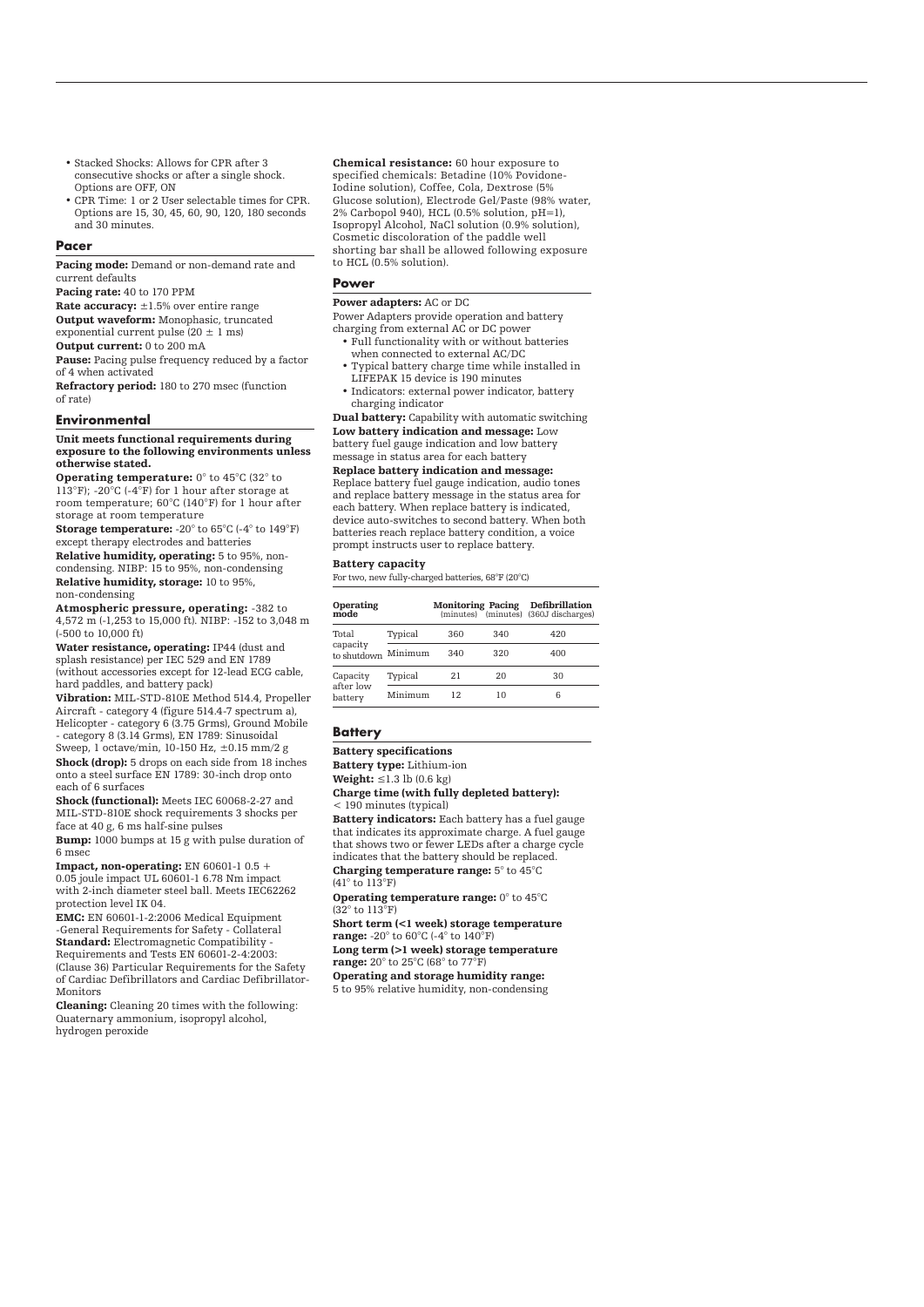- Stacked Shocks: Allows for CPR after 3 consecutive shocks or after a single shock. Options are OFF, ON
- CPR Time: 1 or 2 User selectable times for CPR. Options are 15, 30, 45, 60, 90, 120, 180 seconds and 30 minutes

#### **Pacer**

Pacing mode: Demand or non-demand rate and current defaults

Pacing rate: 40 to 170 PPM

Rate accuracy: ±1.5% over entire range

**Output waveform:** Monophasic, truncated

exponential current pulse (20  $\pm$  1 ms)

Output current: 0 to 200 mA

Pause: Pacing pulse frequency reduced by a factor of 4 when activated

Refractory period: 180 to 270 msec (function of rate)

#### **Environmental**

#### Unit meets functional requirements during exposure to the following environments unless otherwise stated.

Operating temperature: 0° to 45°C (32° to 113°F); -20°C (-4°F) for 1 hour after storage at room temperature; 60°C (140°F) for 1 hour after storage at room temperature

Storage temperature: -20° to 65°C (-4° to 149°F) except therapy electrodes and batteries

Relative humidity, operating: 5 to 95%, noncondensing. NIBP: 15 to 95%, non-condensing Relative humidity, storage: 10 to 95%, non-condensing

Atmospheric pressure, operating: -382 to 4,572 m (-1,253 to 15,000 ft). NIBP: -152 to 3,048 m

(-500 to 10,000 ft) Water resistance, operating: IP44 (dust and splash resistance) per IEC 529 and EN 1789 (without accessories except for 12-lead ECG cable, hard paddles, and battery pack)

Vibration: MIL-STD-810E Method 514.4, Propeller Aircraft - category 4 (figure 514.4-7 spectrum a), Helicopter - category 6 (3.75 Grms), Ground Mobile - category 8 (3.14 Grms), EN 1789: Sinusoidal Sweep, 1 octave/min, 10-150 Hz, ±0.15 mm/2 g Shock (drop): 5 drops on each side from 18 inches onto a steel surface EN 1789: 30-inch drop onto each of 6 surfaces

Shock (functional): Meets IEC 60068-2-27 and MIL-STD-810E shock requirements 3 shocks per face at 40 g, 6 ms half-sine pulses

Bump: 1000 bumps at 15 g with pulse duration of 6 msec

**Impact, non-operating:** EN 60601-1 0.5 + 0.05 joule impact UL 60601-1 6.78 Nm impact with 2-inch diameter steel ball. Meets IEC62262 protection level IK 04.

EMC: EN 60601-1-2:2006 Medical Equipment -General Requirements for Safety - Collateral Standard: Electromagnetic Compatibility - Requirements and Tests EN 60601-2-4:2003: (Clause 36) Particular Requirements for the Safety of Cardiac Defibrillators and Cardiac Defibrillator-Monitors

Cleaning: Cleaning 20 times with the following: Quaternary ammonium, isopropyl alcohol, hydrogen peroxide

Chemical resistance: 60 hour exposure to specified chemicals: Betadine (10% Povidone-Iodine solution), Coffee, Cola, Dextrose (5% Glucose solution), Electrode Gel/Paste (98% water, 2% Carbopol 940), HCL (0.5% solution, pH=1), Isopropyl Alcohol, NaCl solution (0.9% solution), Cosmetic discoloration of the paddle well shorting bar shall be allowed following exposure to HCL (0.5% solution).

#### **Power**

#### Power adapters: AC or DC

Power Adapters provide operation and battery charging from external AC or DC power

- Full functionality with or without batteries when connected to external AC/DC
- Typical battery charge time while installed in LIFEPAK 15 device is 190 minutes
- Indicators: external power indicator, battery charging indicator

Dual battery: Capability with automatic switching Low battery indication and message: Low battery fuel gauge indication and low battery

message in status area for each battery Replace battery indication and message: Replace battery fuel gauge indication, audio tones and replace battery message in the status area for each battery. When replace battery is indicated, device auto-switches to second battery. When both batteries reach replace battery condition, a voice prompt instructs user to replace battery.

#### Battery capacity

For two, new fully-charged batteries, 68°F (20°C)

| Operating<br>mode                |         | <b>Monitoring Pacing</b> |     | <b>Defibrillation</b><br>(minutes) (minutes) (360J discharges) |
|----------------------------------|---------|--------------------------|-----|----------------------------------------------------------------|
| Total<br>capacity<br>to shutdown | Typical | 360                      | 340 | 420                                                            |
|                                  | Minimum | 340                      | 320 | 400                                                            |
| Capacity<br>after low<br>battery | Typical | 21                       | 20  | 30                                                             |
|                                  | Minimum | 12                       | 10  | հ                                                              |

# **Battery**

## Battery specifications

Battery type: Lithium-ion Weight:  $\leq$ 1.3 lb (0.6 kg)

Charge time (with fully depleted battery): < 190 minutes (typical)

Battery indicators: Each battery has a fuel gauge that indicates its approximate charge. A fuel gauge that shows two or fewer LEDs after a charge cycle indicates that the battery should be replaced. Charging temperature range: 5° to 45°C

(41° to 113°F) Operating temperature range: 0° to 45°C

(32° to 113°F) Short term (<1 week) storage temperature

range: -20° to 60°C (-4° to 140°F) Long term (>1 week) storage temperature

range: 20° to 25°C (68° to 77°F)

Operating and storage humidity range:

5 to 95% relative humidity, non-condensing